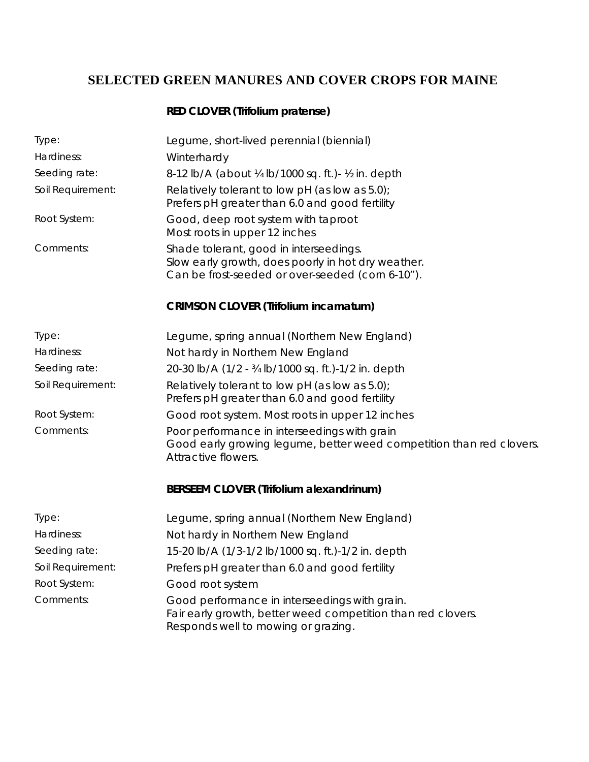# **SELECTED GREEN MANURES AND COVER CROPS FOR MAINE**

### **RED CLOVER (Trifolium pratense)**

| Type:             | Legume, short-lived perennial (biennial)                                                                                                             |
|-------------------|------------------------------------------------------------------------------------------------------------------------------------------------------|
| Hardiness:        | Winterhardy                                                                                                                                          |
| Seeding rate:     | 8-12 lb/A (about ¼ lb/1000 sq. ft.) - ½ in. depth                                                                                                    |
| Soil Requirement: | Relatively tolerant to low pH (as low as $5.0$ );<br>Prefers pH greater than 6.0 and good fertility                                                  |
| Root System:      | Good, deep root system with taproot<br>Most roots in upper 12 inches                                                                                 |
| Comments:         | Shade tolerant, good in interseedings.<br>Slow early growth, does poorly in hot dry weather.<br>Can be frost-seeded or over-seeded (corn 6-10").     |
|                   | <b>CRIMSON CLOVER (Trifolium incamatum)</b>                                                                                                          |
| Type:             | Legume, spring annual (Northern New England)                                                                                                         |
| Hardiness:        | Not hardy in Northern New England                                                                                                                    |
| Seeding rate:     | 20-30 lb/A (1/2 - 34 lb/1000 sq. ft.)-1/2 in. depth                                                                                                  |
| Soil Requirement: | Relatively tolerant to low pH (as low as 5.0);<br>Prefers pH greater than 6.0 and good fertility                                                     |
| Root System:      | Good root system. Most roots in upper 12 inches                                                                                                      |
| Comments:         | Poor performance in interseedings with grain<br>Good early growing legume, better weed competition than red clovers.<br>Attractive flowers.          |
|                   | BERSEEM CLOVER (Trifolium alexandrinum)                                                                                                              |
| Type:             | Legume, spring annual (Northern New England)                                                                                                         |
| Hardiness:        | Not hardy in Northern New England                                                                                                                    |
| Seeding rate:     | 15-20 lb/A (1/3-1/2 lb/1000 sq. ft.)-1/2 in. depth                                                                                                   |
| Soil Requirement: | Prefers pH greater than 6.0 and good fertility                                                                                                       |
| Root System:      | Good root system                                                                                                                                     |
| Comments:         | Good performance in interseedings with grain.<br>Fair early growth, better weed competition than red clovers.<br>Responds well to mowing or grazing. |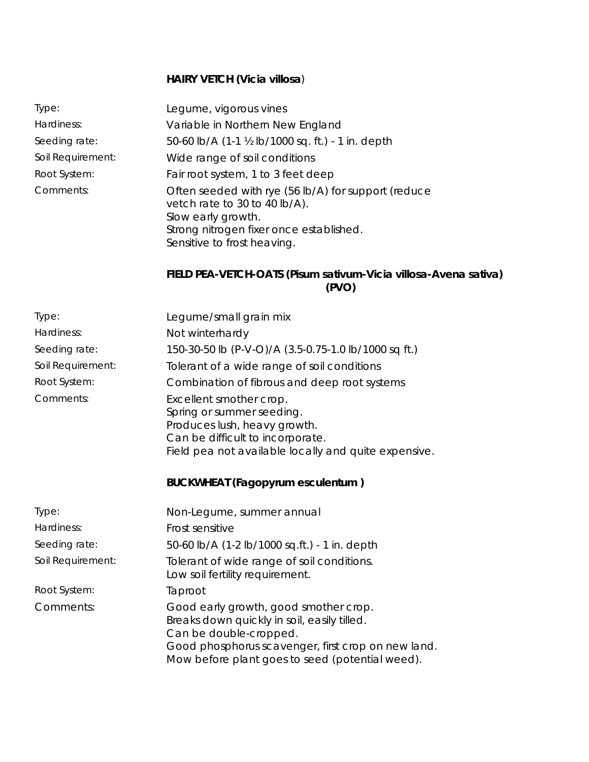#### **HAIRY VETCH (Vicia villosa**)

Type: Legume, vigorous vines Hardiness: Variable in Northern New England Seeding rate: 50-60 lb/A (1-1 ½ lb/1000 sq. ft.) - 1 in. depth Soil Requirement: Wide range of soil conditions Root System: Fair root system, 1 to 3 feet deep Comments: Often seeded with rye (56 lb/A) for support (reduce vetch rate to 30 to 40 lb/A). Slow early growth. Strong nitrogen fixer once established. Sensitive to frost heaving.

#### **FIELD PEA-VETCH-OATS (Pisum sativum-Vicia villosa-Avena sativa) (PVO)**

| Type:             | Legume/small grain mix                                                                                                                                                                                                  |
|-------------------|-------------------------------------------------------------------------------------------------------------------------------------------------------------------------------------------------------------------------|
| Hardiness:        | Not winterhardy                                                                                                                                                                                                         |
| Seeding rate:     | 150-30-50 lb (P-V-O)/A (3.5-0.75-1.0 lb/1000 sq ft.)                                                                                                                                                                    |
| Soil Requirement: | Tolerant of a wide range of soil conditions                                                                                                                                                                             |
| Root System:      | Combination of fibrous and deep root systems                                                                                                                                                                            |
| Comments:         | Excellent smother crop.<br>Spring or summer seeding.<br>Produces lush, heavy growth.<br>Can be difficult to incorporate.<br>Field pea not available locally and quite expensive.                                        |
|                   | <b>BUCKWHEAT (Fagopyrum esculentum)</b>                                                                                                                                                                                 |
| Type:             | Non-Legume, summer annual                                                                                                                                                                                               |
| Hardiness:        | Frost sensitive                                                                                                                                                                                                         |
| Seeding rate:     | 50-60 lb/A (1-2 lb/1000 sq.ft.) - 1 in. depth                                                                                                                                                                           |
| Soil Requirement: | Tolerant of wide range of soil conditions.<br>Low soil fertility requirement.                                                                                                                                           |
| Root System:      | Taproot                                                                                                                                                                                                                 |
| Comments:         | Good early growth, good smother crop.<br>Breaks down quickly in soil, easily tilled.<br>Can be double-cropped.<br>Good phosphorus scavenger, first crop on new land.<br>Mow before plant goes to seed (potential weed). |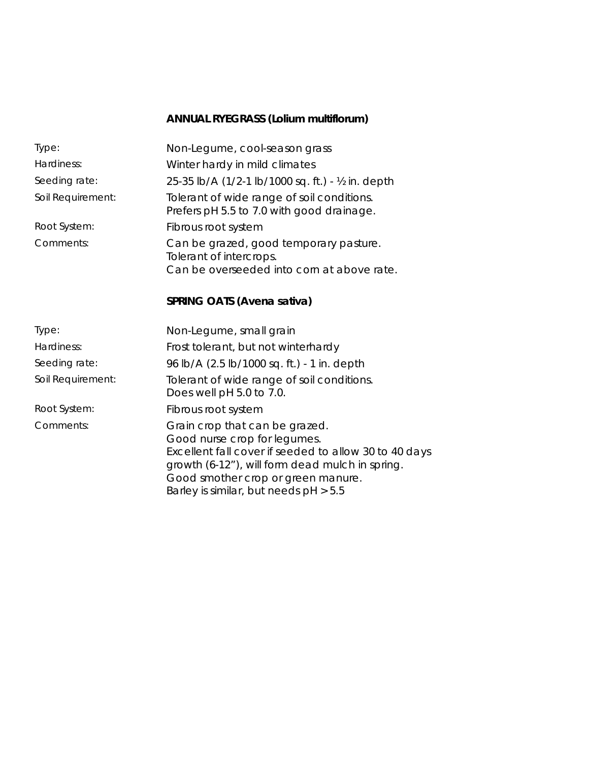## **ANNUAL RYEGRASS (Lolium multiflorum)**

| Type:             | Non-Legume, cool-season grass                                                                                                                                                                                                                             |
|-------------------|-----------------------------------------------------------------------------------------------------------------------------------------------------------------------------------------------------------------------------------------------------------|
| Hardiness:        | Winter hardy in mild climates                                                                                                                                                                                                                             |
| Seeding rate:     | 25-35 lb/A (1/2-1 lb/1000 sq. ft.) - ½ in. depth                                                                                                                                                                                                          |
| Soil Requirement: | Tolerant of wide range of soil conditions.<br>Prefers pH 5.5 to 7.0 with good drainage.                                                                                                                                                                   |
| Root System:      | Fibrous root system                                                                                                                                                                                                                                       |
| Comments:         | Can be grazed, good temporary pasture.<br>Tolerant of intercrops.                                                                                                                                                                                         |
|                   | Can be overseeded into corn at above rate.                                                                                                                                                                                                                |
|                   | SPRING OATS (Avena sativa)                                                                                                                                                                                                                                |
| Type:             | Non-Legume, small grain                                                                                                                                                                                                                                   |
| Hardiness:        | Frost tolerant, but not winterhardy                                                                                                                                                                                                                       |
| Seeding rate:     | 96 lb/A (2.5 lb/1000 sq. ft.) - 1 in. depth                                                                                                                                                                                                               |
| Soil Requirement: | Tolerant of wide range of soil conditions.<br>Does well pH 5.0 to 7.0.                                                                                                                                                                                    |
| Root System:      | Fibrous root system                                                                                                                                                                                                                                       |
| Comments:         | Grain crop that can be grazed.<br>Good nurse crop for legumes.<br>Excellent fall cover if seeded to allow 30 to 40 days<br>growth (6-12"), will form dead mulch in spring.<br>Good smother crop or green manure.<br>Barley is similar, but needs pH > 5.5 |